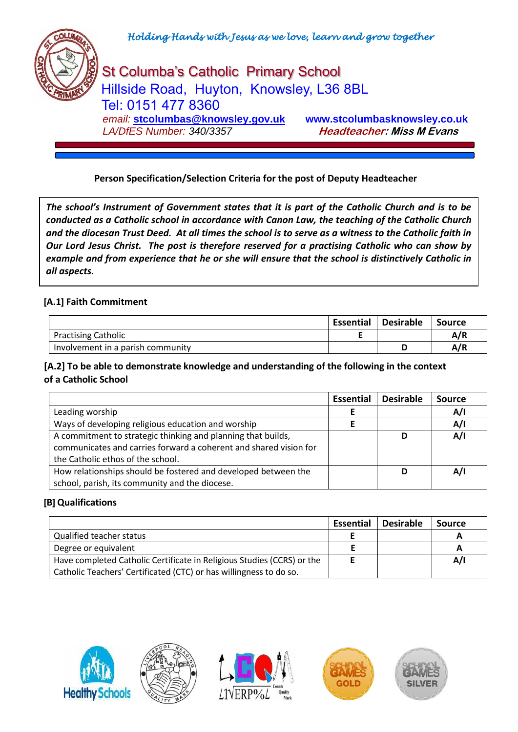

St Columba's Catholic Primary School Hillside Road, Huyton, Knowsley, L36 8BL Tel: 0151 477 8360  *email:* **[stcolumbas@knowsley.gov.uk](mailto:stcolumbas@knowsley.gov.uk) www.stcolumbasknowsley.co.uk LA/DfES Number: 340/3357 Headteacher: Miss M Evans** 

## **Person Specification/Selection Criteria for the post of Deputy Headteacher**

*The school's Instrument of Government states that it is part of the Catholic Church and is to be conducted as a Catholic school in accordance with Canon Law, the teaching of the Catholic Church and the diocesan Trust Deed. At all times the school is to serve as a witness to the Catholic faith in Our Lord Jesus Christ. The post is therefore reserved for a practising Catholic who can show by example and from experience that he or she will ensure that the school is distinctively Catholic in all aspects.*

#### **[A.1] Faith Commitment**

|                                   | <b>Essential</b> | <b>Desirable</b> | Source |
|-----------------------------------|------------------|------------------|--------|
| <b>Practising Catholic</b>        |                  |                  | A/R    |
| Involvement in a parish community |                  |                  | A/R    |

#### **[A.2] To be able to demonstrate knowledge and understanding of the following in the context of a Catholic School**

|                                                                                                                                                                        | <b>Essential</b> | <b>Desirable</b> | <b>Source</b> |
|------------------------------------------------------------------------------------------------------------------------------------------------------------------------|------------------|------------------|---------------|
| Leading worship                                                                                                                                                        |                  |                  | A/I           |
| Ways of developing religious education and worship                                                                                                                     |                  |                  | A/I           |
| A commitment to strategic thinking and planning that builds,<br>communicates and carries forward a coherent and shared vision for<br>the Catholic ethos of the school. |                  | D                | A/I           |
| How relationships should be fostered and developed between the<br>school, parish, its community and the diocese.                                                       |                  | D                | A/I           |

#### **[B] Qualifications**

|                                                                        | <b>Essential</b> | <b>Desirable</b> | <b>Source</b> |
|------------------------------------------------------------------------|------------------|------------------|---------------|
| Qualified teacher status                                               |                  |                  |               |
| Degree or equivalent                                                   |                  |                  | A             |
| Have completed Catholic Certificate in Religious Studies (CCRS) or the |                  |                  | A/I           |
| Catholic Teachers' Certificated (CTC) or has willingness to do so.     |                  |                  |               |









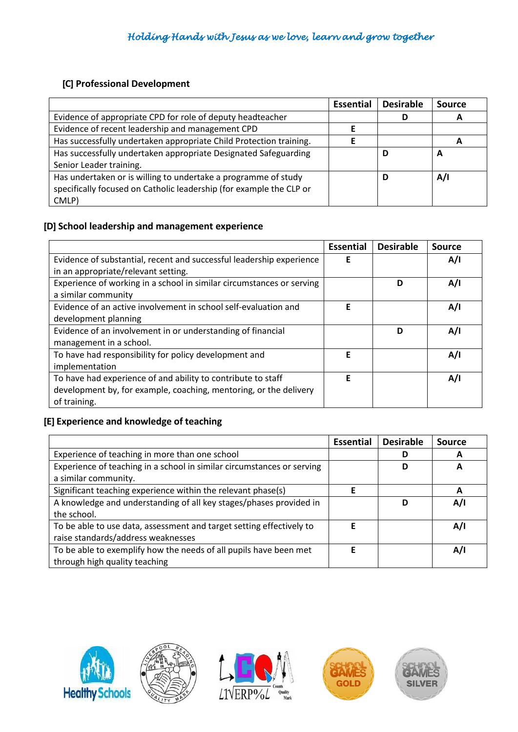## **[C] Professional Development**

|                                                                     | <b>Essential</b> | <b>Desirable</b> | <b>Source</b> |
|---------------------------------------------------------------------|------------------|------------------|---------------|
| Evidence of appropriate CPD for role of deputy headteacher          |                  | D                |               |
| Evidence of recent leadership and management CPD                    |                  |                  |               |
| Has successfully undertaken appropriate Child Protection training.  |                  |                  |               |
| Has successfully undertaken appropriate Designated Safeguarding     |                  | D                | A             |
| Senior Leader training.                                             |                  |                  |               |
| Has undertaken or is willing to undertake a programme of study      |                  | D                | A/I           |
| specifically focused on Catholic leadership (for example the CLP or |                  |                  |               |
| CMLP)                                                               |                  |                  |               |

## **[D] School leadership and management experience**

|                                                                       | <b>Essential</b> | <b>Desirable</b> | <b>Source</b> |
|-----------------------------------------------------------------------|------------------|------------------|---------------|
| Evidence of substantial, recent and successful leadership experience  | F                |                  | A/I           |
| in an appropriate/relevant setting.                                   |                  |                  |               |
| Experience of working in a school in similar circumstances or serving |                  | D                | A/I           |
| a similar community                                                   |                  |                  |               |
| Evidence of an active involvement in school self-evaluation and       | F                |                  | A/I           |
| development planning                                                  |                  |                  |               |
| Evidence of an involvement in or understanding of financial           |                  | D                | A/I           |
| management in a school.                                               |                  |                  |               |
| To have had responsibility for policy development and                 | F                |                  | A/I           |
| implementation                                                        |                  |                  |               |
| To have had experience of and ability to contribute to staff          | F                |                  | A/I           |
| development by, for example, coaching, mentoring, or the delivery     |                  |                  |               |
| of training.                                                          |                  |                  |               |

## **[E] Experience and knowledge of teaching**

|                                                                        | <b>Essential</b> | <b>Desirable</b> | <b>Source</b> |
|------------------------------------------------------------------------|------------------|------------------|---------------|
| Experience of teaching in more than one school                         |                  | D                |               |
| Experience of teaching in a school in similar circumstances or serving |                  | D                | А             |
| a similar community.                                                   |                  |                  |               |
| Significant teaching experience within the relevant phase(s)           | F                |                  | A             |
| A knowledge and understanding of all key stages/phases provided in     |                  | D                | A/I           |
| the school.                                                            |                  |                  |               |
| To be able to use data, assessment and target setting effectively to   | F                |                  | A/I           |
| raise standards/address weaknesses                                     |                  |                  |               |
| To be able to exemplify how the needs of all pupils have been met      | F                |                  | A/I           |
| through high quality teaching                                          |                  |                  |               |









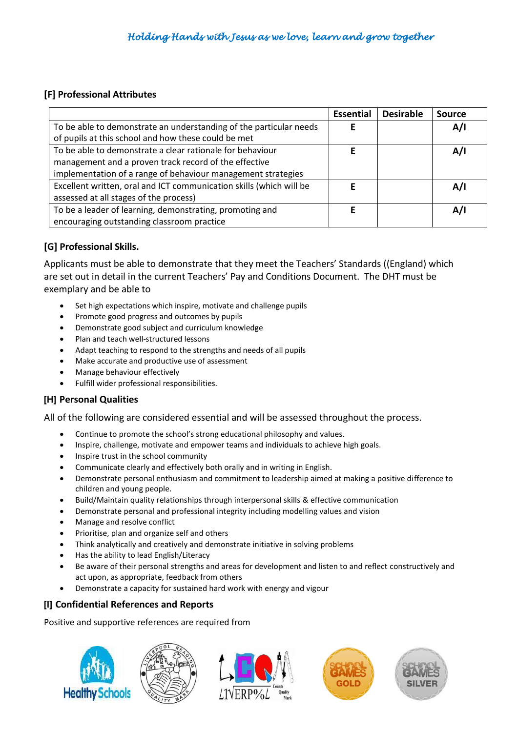#### **[F] Professional Attributes**

|                                                                     | <b>Essential</b> | <b>Desirable</b> | Source |
|---------------------------------------------------------------------|------------------|------------------|--------|
| To be able to demonstrate an understanding of the particular needs  |                  |                  | A/I    |
| of pupils at this school and how these could be met                 |                  |                  |        |
| To be able to demonstrate a clear rationale for behaviour           |                  |                  | A/I    |
| management and a proven track record of the effective               |                  |                  |        |
| implementation of a range of behaviour management strategies        |                  |                  |        |
| Excellent written, oral and ICT communication skills (which will be |                  |                  | A/I    |
| assessed at all stages of the process)                              |                  |                  |        |
| To be a leader of learning, demonstrating, promoting and            |                  |                  | A/I    |
| encouraging outstanding classroom practice                          |                  |                  |        |

# **[G] Professional Skills.**

Applicants must be able to demonstrate that they meet the Teachers' Standards ((England) which are set out in detail in the current Teachers' Pay and Conditions Document. The DHT must be exemplary and be able to

- Set high expectations which inspire, motivate and challenge pupils
- Promote good progress and outcomes by pupils
- Demonstrate good subject and curriculum knowledge
- Plan and teach well-structured lessons
- Adapt teaching to respond to the strengths and needs of all pupils
- Make accurate and productive use of assessment
- Manage behaviour effectively
- Fulfill wider professional responsibilities.

### **[H] Personal Qualities**

All of the following are considered essential and will be assessed throughout the process.

- Continue to promote the school's strong educational philosophy and values.
- Inspire, challenge, motivate and empower teams and individuals to achieve high goals.
- Inspire trust in the school community
- Communicate clearly and effectively both orally and in writing in English.
- Demonstrate personal enthusiasm and commitment to leadership aimed at making a positive difference to children and young people.
- Build/Maintain quality relationships through interpersonal skills & effective communication
- Demonstrate personal and professional integrity including modelling values and vision
- Manage and resolve conflict
- Prioritise, plan and organize self and others
- Think analytically and creatively and demonstrate initiative in solving problems
- Has the ability to lead English/Literacy
- Be aware of their personal strengths and areas for development and listen to and reflect constructively and act upon, as appropriate, feedback from others
- Demonstrate a capacity for sustained hard work with energy and vigour

### **[I] Confidential References and Reports**

Positive and supportive references are required from